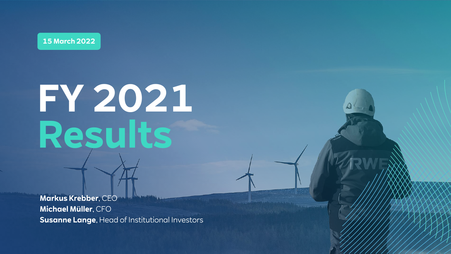**15 March 2022**

# **FY 2021 Results**

**Markus Krebber**, CEO **Michael Müller**, CFO **Susanne Lange**, Head of Institutional Investors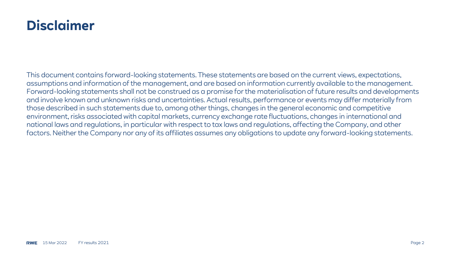## **Disclaimer**

This document contains forward-looking statements. These statements are based on the current views, expectations, assumptions and information of the management, and are based on information currently available to the management. Forward-looking statements shall not be construed as a promise for the materialisation of future results and developments and involve known and unknown risks and uncertainties. Actual results, performance or events may differ materially from those described in such statements due to, among other things, changes in the general economic and competitive environment, risks associated with capital markets, currency exchange rate fluctuations, changes in international and national laws and regulations, in particular with respect to tax laws and regulations, affecting the Company, and other factors. Neither the Company nor any of its affiliates assumes any obligations to update any forward-looking statements.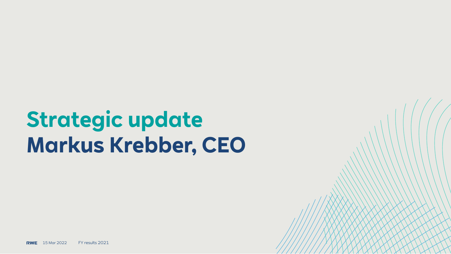## **Strategic update Markus Krebber, CEO**

RWE 15 Mar 2022 FY results 2021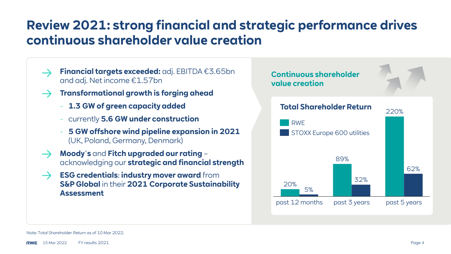## **Review 2021: strong financial and strategic performance drives continuous shareholder value creation**

- **Financial targets exceeded:** adj. EBITDA €3.65bn and adj. Net income €1.57bn
- **Transformational growth is forging ahead**
	- **1.3 GW of green capacity added**
	- currently **5.6 GW under construction**
	- **5 GW offshore wind pipeline expansion in 2021**  (UK, Poland, Germany, Denmark)
- $\rightarrow$ **Moody´s** and **Fitch upgraded our rating** – acknowledging our **strategic and financial strength**
- **ESG credentials**: **industry mover award** from  $\rightarrow$ **S&P Global** in their **2021 Corporate Sustainability Assessment**



### Note: Total Shareholder Return as of 10 Mar 2022.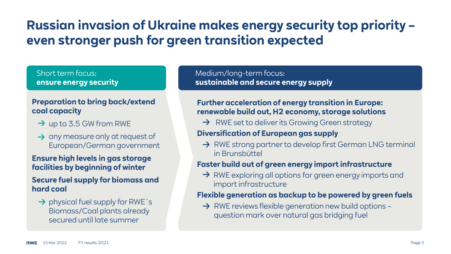## **Russian invasion of Ukraine makes energy security top priority – even stronger push for green transition expected**

### Short term focus: **ensure energy security**

### **Preparation to bring back/extend coal capacity**

- $\rightarrow$  up to 3.5 GW from RWE
- $\rightarrow$  any measure only at request of European/German government

### **Ensure high levels in gas storage facilities by beginning of winter**

### **Secure fuel supply for biomass and hard coal**

 $\rightarrow$  physical fuel supply for RWE´s Biomass/Coal plants already secured until late summer

### Medium/long-term focus: **sustainable and secure energy supply**

### **Further acceleration of energy transition in Europe: renewable build out, H2 economy, storage solutions**

 $\rightarrow$  RWE set to deliver its Growing Green strategy

### **Diversification of European gas supply**

 $\rightarrow$  RWE strong partner to develop first German LNG terminal in Brunsbüttel

### **Faster build out of green energy import infrastructure**

 $\rightarrow$  RWE exploring all options for green energy imports and import infrastructure

### **Flexible generation as backup to be powered by green fuels**

 $\rightarrow$  RWE reviews flexible generation new build options question mark over natural gas bridging fuel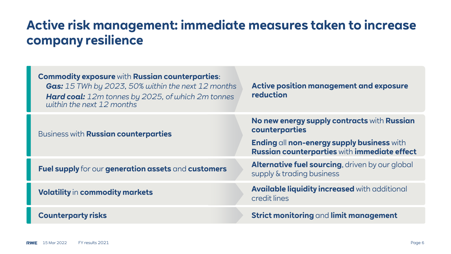## **Active risk management: immediate measures taken to increase company resilience**

| <b>Commodity exposure with Russian counterparties:</b><br><b>Gas:</b> 15 TWh by 2023, 50% within the next 12 months<br><b>Hard coal:</b> 12m tonnes by 2025, of which 2m tonnes<br>within the next 12 months | Active position management and exposure<br>reduction                                       |
|--------------------------------------------------------------------------------------------------------------------------------------------------------------------------------------------------------------|--------------------------------------------------------------------------------------------|
| Business with <b>Russian counterparties</b>                                                                                                                                                                  | No new energy supply contracts with Russian<br>counterparties                              |
|                                                                                                                                                                                                              | Ending all non-energy supply business with<br>Russian counterparties with immediate effect |
| Fuel supply for our generation assets and customers                                                                                                                                                          | <b>Alternative fuel sourcing, driven by our global</b><br>supply & trading business        |
| <b>Volatility in commodity markets</b>                                                                                                                                                                       | Available liquidity increased with additional<br>credit lines                              |
| <b>Counterparty risks</b>                                                                                                                                                                                    | Strict monitoring and limit management                                                     |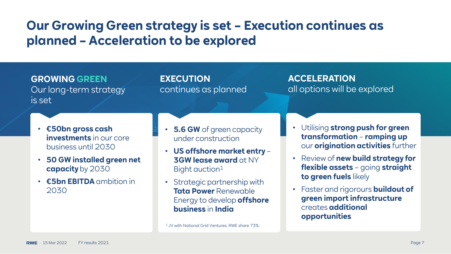## **Our Growing Green strategy is set – Execution continues as planned – Acceleration to be explored**

**GROWING GREEN** Our long-term strategy is set

**EXECUTION** continues as planned **ACCELERATION** all options will be explored

- **€50bn gross cash investments** in our core business until 2030
- **50 GW installed green net capacity** by 2030
- **€5bn EBITDA** ambition in 2030
- **5.6 GW** of green capacity under construction
- **US offshore market entry 3GW lease award** at NY Bight auction<sup>1</sup>
- Strategic partnership with **Tata Power** Renewable Energy to develop **offshore business** in **India**

1 JV with National Grid Ventures. RWE share 73%.

- Utilising **strong push for green transformation** – **ramping up**  our **origination activities** further
- Review of **new build strategy for flexible assets** – going **straight to green fuels** likely
- Faster and rigorours **buildout of green import infrastructure**  creates **additional opportunities**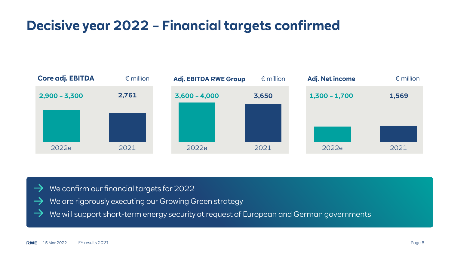## **Decisive year 2022 – Financial targets confirmed**



- We confirm our financial targets for 2022
- We are rigorously executing our Growing Green strategy
- We will support short-term energy security at request of European and German governments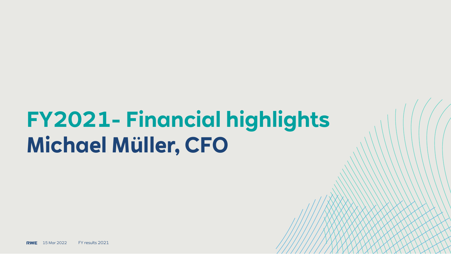## **FY2021- Financial highlights Michael Müller, CFO**

**RWE** 15 Mar 2022 FY results 2021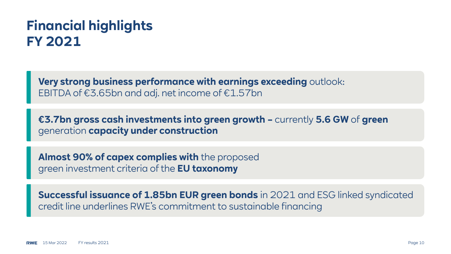## **Financial highlights FY 2021**

**Very strong business performance with earnings exceeding** outlook: EBITDA of €3.65bn and adj. net income of €1.57bn

**€3.7bn gross cash investments into green growth –** currently **5.6 GW** of **green**  generation **capacity under construction**

**Almost 90% of capex complies with** the proposed green investment criteria of the **EU taxonomy**

**Successful issuance of 1.85bn EUR green bonds** in 2021 and ESG linked syndicated credit line underlines RWE's commitment to sustainable financing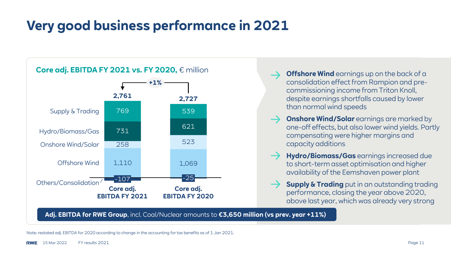## **Very good business performance in 2021**



- **Offshore Wind** earnings up on the back of a consolidation effect from Rampion and precommissioning income from Triton Knoll, despite earnings shortfalls caused by lower than normal wind speeds
- **Onshore Wind/Solar** earnings are marked by one-off effects, but also lower wind yields. Partly compensating were higher margins and capacity additions
- **Hydro/Biomass/Gas** earnings increased due to short-term asset optimisation and higher availability of the Eemshaven power plant
- **Supply & Trading** put in an outstanding trading performance, closing the year above 2020, above last year, which was already very strong

**Adj. EBITDA for RWE Group**, incl. Coal/Nuclear amounts to **€3,650 million (vs prev. year +11%)**

Note: restated adj. EBITDA for 2020 according to change in the accounting for tax benefits as of 1 Jan 2021.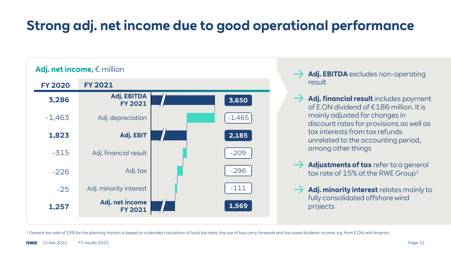## **Strong adj. net income due to good operational performance**



- Adj. EBITDA excludes non-operating result
- **Adj. financial result** includes payment of E.ON dividend of €186 million. It is mainly adjusted for changes in discount rates for provisions as well as tax interests from tax refunds unrelated to the accounting period, among other things
- **Adjustments of tax** refer to a general tax rate of  $15%$  at the RWE Group<sup>1</sup>
- **Adj. minority interest** relates mainly to fully consolidated offshore wind projects

<sup>1</sup> General tax rate of 15% for the planning horizon is based on a blended calculation of local tax rates, the use of loss carry forwards and low taxed dividend income, e.g. from E.ON and Amprion.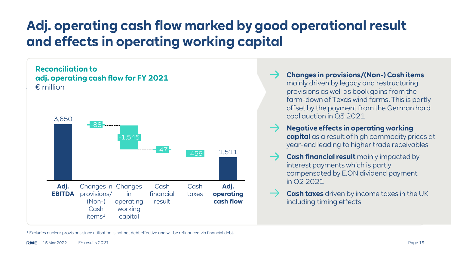## **Adj. operating cash flow marked by good operational result and effects in operating working capital**



**Changes in provisions/(Non-) Cash items**  mainly driven by legacy and restructuring provisions as well as book gains from the farm-down of Texas wind farms. This is partly offset by the payment from the German hard coal auction in Q3 2021

- **Negative effects in operating working capital** as a result of high commodity prices at year-end leading to higher trade receivables
- **Cash financial result** mainly impacted by interest payments which is partly compensated by E.ON dividend payment in Q2 2021
- **Cash taxes** driven by income taxes in the UK including timing effects

<sup>1</sup> Excludes nuclear provisions since utilisation is not net debt effective and will be refinanced via financial debt.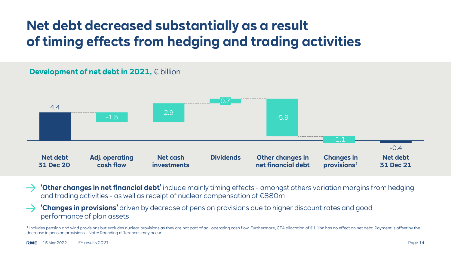## **Net debt decreased substantially as a result of timing effects from hedging and trading activities**



**'Other changes in net financial debt'** include mainly timing effects - amongst others variation margins from hedging and trading activities - as well as receipt of nuclear compensation of €880m

### **'Changes in provisions'** driven by decrease of pension provisions due to higher discount rates and good performance of plan assets

<sup>1</sup> Includes pension and wind provisions but excludes nuclear provisions as they are not part of adj. operating cash flow. Furthermore, CTA allocation of €1.1bn has no effect on net debt. Payment is offset by the decrease in pension provisions. | Note: Rounding differences may occur.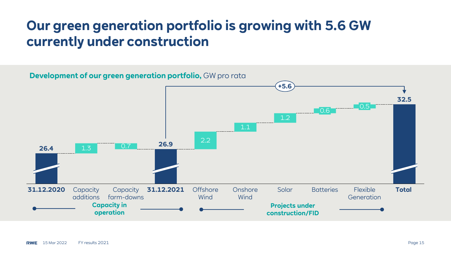## **Our green generation portfolio is growing with 5.6 GW currently under construction**

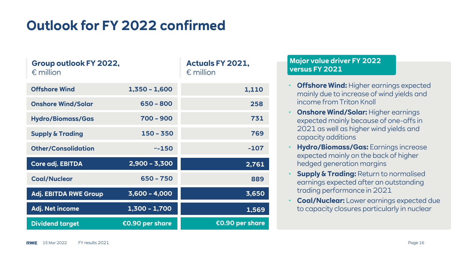## **Outlook for FY 2022 confirmed**

| Group outlook FY 2022,<br>$\epsilon$ million |                 | <b>Actuals FY 2021,</b><br>$\epsilon$ million |
|----------------------------------------------|-----------------|-----------------------------------------------|
| <b>Offshore Wind</b>                         | $1,350 - 1,600$ | 1,110                                         |
| <b>Onshore Wind/Solar</b>                    | $650 - 800$     | 258                                           |
| <b>Hydro/Biomass/Gas</b>                     | $700 - 900$     | 731                                           |
| <b>Supply &amp; Trading</b>                  | 150 - 350       | 769                                           |
| <b>Other/Consolidation</b>                   | $~-150$         | $-107$                                        |
| Core adj. EBITDA                             | $2,900 - 3,300$ | 2,761                                         |
| <b>Coal/Nuclear</b>                          | $650 - 750$     | 889                                           |
| <b>Adj. EBITDA RWE Group</b>                 | $3,600 - 4,000$ | 3,650                                         |
| Adj. Net income                              | $1,300 - 1,700$ | 1,569                                         |
| <b>Dividend target</b>                       | €0.90 per share | €0.90 per share                               |

### **Major value driver FY 2022 versus FY 2021**

- **Offshore Wind:** Higher earnings expected mainly due to increase of wind yields and income from Triton Knoll
- **Onshore Wind/Solar:** Higher earnings expected mainly because of one-offs in 2021 as well as higher wind yields and capacity additions
- **Hydro/Biomass/Gas:** Earnings increase expected mainly on the back of higher hedged generation margins
- **Supply & Trading:** Return to normalised earnings expected after an outstanding trading performance in 2021
- **Coal/Nuclear:** Lower earnings expected due to capacity closures particularly in nuclear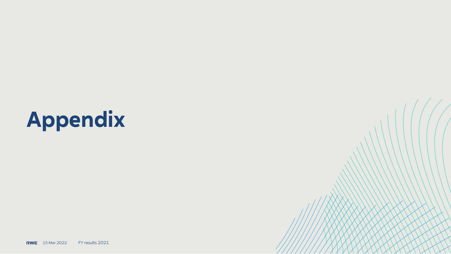## **Appendix**

**RWE** 15 Mar 2022 FY results 2021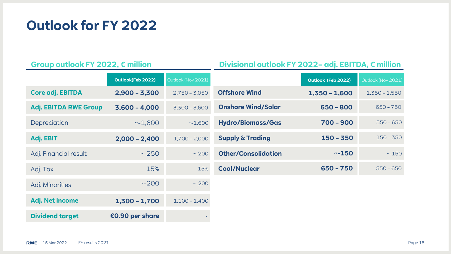**Outlook for FY 2022**

### **Group outlook FY 2022, € million Divisional outlook FY 2022– adj. EBITDA, € million**

|                              | Outlook(Feb 2022) | Outlook (Nov 2021) |                             | Outlook (Feb 2022) | Outlook (Nov 2021) |
|------------------------------|-------------------|--------------------|-----------------------------|--------------------|--------------------|
| Core adj. EBITDA             | $2,900 - 3,300$   | $2,750 - 3,050$    | <b>Offshore Wind</b>        | $1,350 - 1,600$    | $1,350 - 1,550$    |
| <b>Adj. EBITDA RWE Group</b> | $3,600 - 4,000$   | $3,300 - 3,600$    | <b>Onshore Wind/Solar</b>   | $650 - 800$        | $650 - 750$        |
| Depreciation                 | ~1,600            | ~1.600             | <b>Hydro/Biomass/Gas</b>    | $700 - 900$        | $550 - 650$        |
| Adj. EBIT                    | $2,000 - 2,400$   | $1,700 - 2,000$    | <b>Supply &amp; Trading</b> | $150 - 350$        | $150 - 350$        |
| Adj. Financial result        | ~250              | ~200               | <b>Other/Consolidation</b>  | ~150               | $~-150$            |
| Adj. Tax                     | 15%               | 15%                | <b>Coal/Nuclear</b>         | $650 - 750$        | $550 - 650$        |
| Adj. Minorities              | ~200              | ~200               |                             |                    |                    |
| Adj. Net income              | $1,300 - 1,700$   | $1,100 - 1,400$    |                             |                    |                    |
| <b>Dividend target</b>       | €0.90 per share   |                    |                             |                    |                    |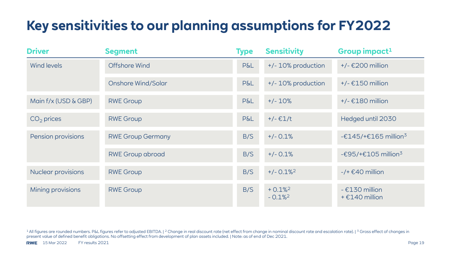## **Key sensitivities to our planning assumptions for FY2022**

| <b>Driver</b>        | <b>Segment</b>           | <b>Type</b>    | <b>Sensitivity</b>                   | Group impact <sup>1</sup>                                                       |
|----------------------|--------------------------|----------------|--------------------------------------|---------------------------------------------------------------------------------|
| Wind levels          | <b>Offshore Wind</b>     | <b>P&amp;L</b> | +/- 10% production                   | $+/-$ £200 million                                                              |
|                      | Onshore Wind/Solar       | P&L            | +/- 10% production                   | $+/- \epsilon$ 150 million                                                      |
| Main f/x (USD & GBP) | <b>RWE Group</b>         | <b>P&amp;L</b> | $+/- 10%$                            | $+/- \text{\textsterling}180$ million                                           |
| $CO2$ prices         | <b>RWE Group</b>         | P&L            | $+/- \in 1/t$                        | Hedged until 2030                                                               |
| Pension provisions   | <b>RWE Group Germany</b> | B/S            | $+/- 0.1%$                           | $-£145/+£165$ million <sup>3</sup>                                              |
|                      | <b>RWE Group abroad</b>  | B/S            | $+/- 0.1%$                           | - $\text{\textsterling}95/\text{+}\text{\textsterling}105$ million <sup>3</sup> |
| Nuclear provisions   | <b>RWE Group</b>         | B/S            | $+/- 0.1\%$ <sup>2</sup>             | $-$ /+ $\epsilon$ 40 million                                                    |
| Mining provisions    | <b>RWE Group</b>         | B/S            | $+0.1%^{2}$<br>$-0.1\%$ <sup>2</sup> | $-$ £130 million<br>$+ \epsilon$ 140 million                                    |

1 All figures are rounded numbers. P&L figures refer to adjusted EBITDA. | 2 Change in real discount rate (net effect from change in nominal discount rate and escalation rate). | 3 Gross effect of changes in present value of defined benefit obligations. No offsetting effect from development of plan assets included. | Note: as of end of Dec 2021.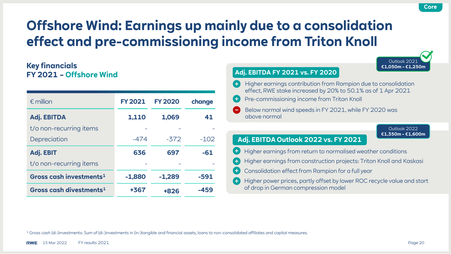## **Offshore Wind: Earnings up mainly due to a consolidation effect and pre-commissioning income from Triton Knoll**

### **Key financials FY 2021 – Offshore Wind**

| $\epsilon$ million                  | <b>FY 2021</b> | <b>FY 2020</b> | change |
|-------------------------------------|----------------|----------------|--------|
| Adj. EBITDA                         | 1,110          | 1,069          | 41     |
| t/o non-recurring items             |                |                |        |
| Depreciation                        | -474           | $-372$         | $-102$ |
| Adj. EBIT                           | 636            | 697            | -61    |
| t/o non-recurring items             |                |                |        |
| Gross cash investments <sup>1</sup> | $-1,880$       | $-1.289$       | -591   |
| Gross cash divestments <sup>1</sup> | +367           | +826           | -459   |

|             | €1,050m - €1,250m                                                                                                                                                            |
|-------------|------------------------------------------------------------------------------------------------------------------------------------------------------------------------------|
|             | <b>Adj. EBITDA FY 2021 vs. FY 2020</b>                                                                                                                                       |
| $\ddotmark$ | Higher earnings contribution from Rampion due to consolidation<br>effect, RWE stake increased by 20% to 50.1% as of 1 Apr 2021<br>Pre-commissioning income from Triton Knoll |
|             | Below normal wind speeds in FY 2021, while FY 2020 was<br>above normal                                                                                                       |
|             | Outlook 2022                                                                                                                                                                 |
|             | €1,350m - €1,600m<br>Adj. EBITDA Outlook 2022 vs. FY 2021                                                                                                                    |
|             | Higher earnings from return to normalised weather conditions                                                                                                                 |
|             | Higher earnings from construction projects: Triton Knoll and Kaskasi                                                                                                         |
|             | Consolidation effect from Rampion for a full year                                                                                                                            |
|             | Higher power prices, partly offset by lower ROC recycle value and start<br>of drop in German compression model                                                               |

<sup>1</sup> Gross cash (di-)investments: Sum of (di-)investments in (in-)tangible and financial assets, loans to non-consolidated affiliates and capital measures.

 $Q$ utlook

**Core**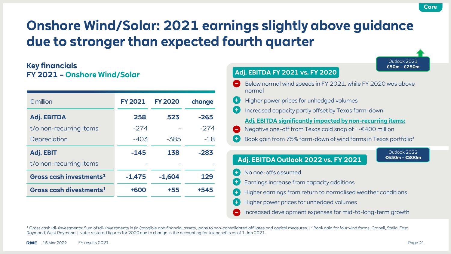## **Onshore Wind/Solar: 2021 earnings slightly above guidance due to stronger than expected fourth quarter**

### **Key financials FY 2021 – Onshore Wind/Solar**

| $\epsilon$ million                  | <b>FY 2021</b> | <b>FY 2020</b> | change |
|-------------------------------------|----------------|----------------|--------|
| <b>Adj. EBITDA</b>                  | 258            | 523            | $-265$ |
| t/o non-recurring items             | $-274$         |                | $-274$ |
| Depreciation                        | $-403$         | $-385$         | $-18$  |
| Adj. EBIT                           | $-145$         | 138            | $-283$ |
| t/o non-recurring items             |                |                |        |
| Gross cash investments <sup>1</sup> | $-1,475$       | $-1.604$       | 129    |
| Gross cash divestments <sup>1</sup> | +600           | +55            | +545   |

|                                                                                                                                 | €50m - €250m                  |
|---------------------------------------------------------------------------------------------------------------------------------|-------------------------------|
| Adj. EBITDA FY 2021 vs. FY 2020                                                                                                 |                               |
| Below normal wind speeds in FY 2021, while FY 2020 was above<br>normal                                                          |                               |
| Higher power prices for unhedged volumes                                                                                        |                               |
| Increased capacity partly offset by Texas farm-down                                                                             |                               |
| Adj. EBITDA significantly impacted by non-recurring items:<br>Negative one-off from Texas cold snap of $\sim$ $\in$ 400 million |                               |
| Book gain from 75% farm-down of wind farms in Texas portfolio <sup>2</sup>                                                      |                               |
|                                                                                                                                 | Outlook 2022<br>€650m - €800m |
| Adj. EBITDA Outlook 2022 vs. FY 2021                                                                                            |                               |
| No one-offs assumed                                                                                                             |                               |
| Earnings increase from capacity additions                                                                                       |                               |
| Higher earnings from return to normalised weather conditions                                                                    |                               |
| Higher power prices for unhedged volumes                                                                                        |                               |
| Increased development expenses for mid-to-long-term growth                                                                      |                               |

<sup>1</sup> Gross cash (di-)investments: Sum of (di-)investments in (in-)tangible and financial assets, loans to non-consolidated affiliates and capital measures. | <sup>2</sup> Book gain for four wind farms; Cranell, Stella, East Raymond, West Raymond. | Note: restated figures for 2020 due to change in the accounting for tax benefits as of 1 Jan 2021.

**Core**

Outlook 2021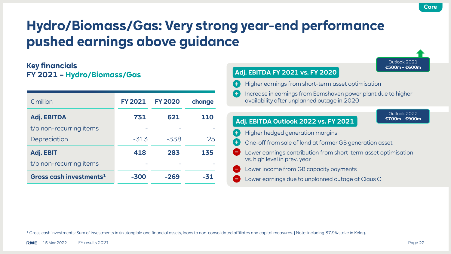## **Hydro/Biomass/Gas: Very strong year-end performance pushed earnings above guidance**

### **Key financials FY 2021 – Hydro/Biomass/Gas**

| $\epsilon$ million                  | <b>FY 2021</b> | <b>FY 2020</b> | change     |
|-------------------------------------|----------------|----------------|------------|
| <b>Adj. EBITDA</b>                  | 731            | 621            | <b>110</b> |
| t/o non-recurring items             |                |                |            |
| Depreciation                        | $-313$         | $-338$         | 25         |
| <b>Adj. EBIT</b>                    | 418            | 283            | 135        |
| t/o non-recurring items             |                |                |            |
| Gross cash investments <sup>1</sup> | -300           | $-269$         | -31        |



<sup>1</sup> Gross cash investments: Sum of investments in (in-)tangible and financial assets, loans to non-consolidated affiliates and capital measures. | Note: including 37.9% stake in Kelag.

**Core**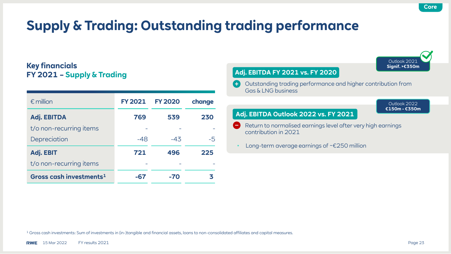Outlook 2021 **Signif. >€350m**

Outlook 2022 **€150m - €350m**

## **Supply & Trading: Outstanding trading performance**

### **Key financials FY 2021 – Supply & Trading**

| $\epsilon$ million                  | <b>FY 2021</b> | <b>FY 2020</b> | change |
|-------------------------------------|----------------|----------------|--------|
| <b>Adj. EBITDA</b>                  | 769            | 539            | 230    |
| t/o non-recurring items             |                |                |        |
| Depreciation                        | $-48$          | $-43$          | -5     |
| Adj. EBIT                           | 721            | 496            | 225    |
| t/o non-recurring items             |                |                |        |
| Gross cash investments <sup>1</sup> | -67            | -70            |        |

### **Adj. EBITDA FY 2021 vs. FY 2020**

Outstanding trading performance and higher contribution from Gas & LNG business

### **Adj. EBITDA Outlook 2022 vs. FY 2021**

- Return to normalised earnings level after very high earnings contribution in 2021
- Long-term average earnings of ~€250 million

<sup>1</sup> Gross cash investments: Sum of investments in (in-)tangible and financial assets, loans to non-consolidated affiliates and capital measures.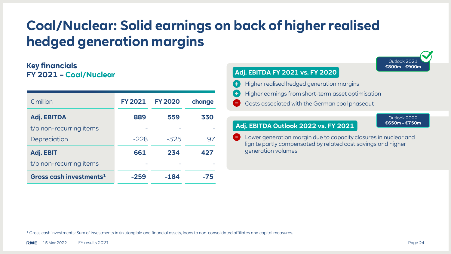## **Coal/Nuclear: Solid earnings on back of higher realised hedged generation margins**

### **Key financials FY 2021 – Coal/Nuclear**

| $\epsilon$ million                  | <b>FY 2021</b> | <b>FY 2020</b> | change |
|-------------------------------------|----------------|----------------|--------|
| Adj. EBITDA                         | 889            | 559            | 330    |
| t/o non-recurring items             |                |                |        |
| Depreciation                        | $-228$         | $-325$         | 97     |
| Adj. EBIT                           | 661            | 234            | 427    |
| t/o non-recurring items             |                |                |        |
| Gross cash investments <sup>1</sup> | -259           | -184           | -75    |



Lower generation margin due to capacity closures in nuclear and lignite partly compensated by related cost savings and higher generation volumes

<sup>1</sup> Gross cash investments: Sum of investments in (in-)tangible and financial assets, loans to non-consolidated affiliates and capital measures.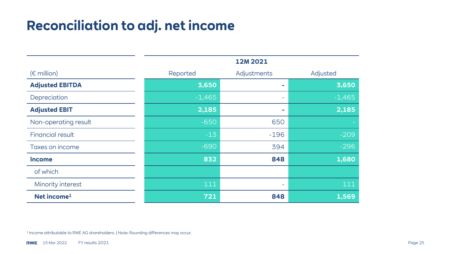## **Reconciliation to adj. net income**

|                         | 12M 2021 |             |          |
|-------------------------|----------|-------------|----------|
| $(\epsilon$ million)    | Reported | Adjustments | Adjusted |
| <b>Adjusted EBITDA</b>  | 3,650    |             | 3,650    |
| Depreciation            | $-1,465$ |             | $-1,465$ |
| <b>Adjusted EBIT</b>    | 2,185    | ÷           | 2,185    |
| Non-operating result    | $-650$   | 650         |          |
| <b>Financial result</b> | $-13$    | $-196$      | $-209$   |
| Taxes on income         | $-690$   | 394         | $-296$   |
| <b>Income</b>           | 832      | 848         | 1,680    |
| of which                |          |             |          |
| Minority interest       | 111      | ٠           | 111      |
| Net income <sup>1</sup> | 721      | 848         | 1,569    |

<sup>1</sup> Income attributable to RWE AG shareholders. | Note: Rounding differences may occur.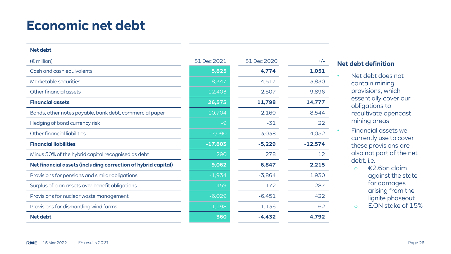## **Economic net debt**

### **Net debt**

| $(\epsilon$ million)                                          | 31 Dec 2021 | 31 Dec 2020 | $+/-$     |
|---------------------------------------------------------------|-------------|-------------|-----------|
| Cash and cash equivalents                                     | 5,825       | 4,774       | 1,051     |
| Marketable securities                                         | 8,347       | 4,517       | 3,830     |
| Other financial assets                                        | 12,403      | 2,507       | 9,896     |
| <b>Financial assets</b>                                       | 26,575      | 11,798      | 14,777    |
| Bonds, other notes payable, bank debt, commercial paper       | $-10,704$   | $-2,160$    | $-8,544$  |
| Hedging of bond currency risk                                 | $-9$        | $-31$       | 22        |
| Other financial liabilities                                   | $-7,090$    | $-3,038$    | $-4,052$  |
| <b>Financial liabilities</b>                                  | $-17.803$   | $-5,229$    | $-12,574$ |
| Minus 50% of the hybrid capital recognised as debt            | 290         | 278         | 12        |
| Net financial assets (including correction of hybrid capital) | 9,062       | 6,847       | 2,215     |
| Provisions for pensions and similar obligations               | $-1,934$    | $-3,864$    | 1,930     |
| Surplus of plan assets over benefit obligations               | 459         | 172         | 287       |
| Provisions for nuclear waste management                       | $-6,029$    | $-6,451$    | 422       |
| Provisions for dismantling wind farms                         | $-1,198$    | $-1,136$    | $-62$     |
| <b>Net debt</b>                                               | 360         | $-4,432$    | 4,792     |

### **Net debt definition**

- Net debt does not contain mining provisions, which essentially cover our obligations to recultivate opencast mining areas
- Financial assets we currently use to cover these provisions are also not part of the net debt, i.e.
	- o €2.6bn claim against the state for damages arising from the lignite phaseout
	- o E.ON stake of 15%